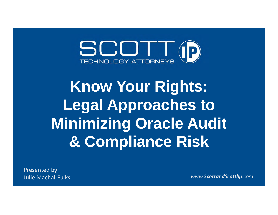

# **Know Your Rights: Legal Approaches to Minimizing Oracle Audit & Compliance Risk**

Presented by: **Julie Machal-Fulks** 

Machal‐Fulks *www.ScottandScottllp.com*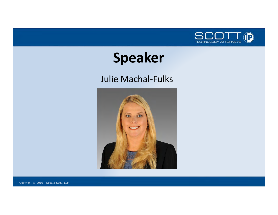

#### **Speaker**

#### Julie Machal‐Fulks



Copyright © 2016 – Scott & Scott, LLP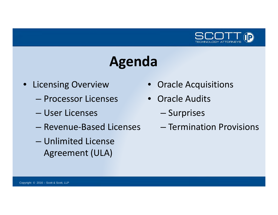

#### **Agenda**

- Licensing Overview
	- Processor Licenses
	- User Licenses
	- Revenue‐Based Licenses
	- Unlimited License Agreement (ULA)
- Oracle Acquisitions
- Oracle Audits
	- –— Surprises
	- Termination Provisions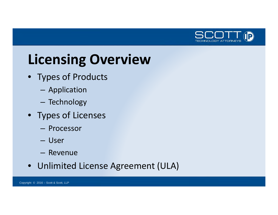

### **Licensing Overview**

- Types of Products
	- –Application
	- –– Technology
- Types of Licenses
	- Processor
	- User
	- Revenue
- Unlimited License Agreement (ULA)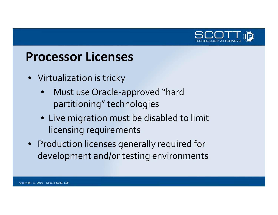

#### **Processor Licenses**

- Virtualization is tricky
	- • Must use Oracle‐approved "hard partitioning" technologies
	- Live migration must be disabled to limit licensing requirements
- Production licenses generally required for development and/or testing environments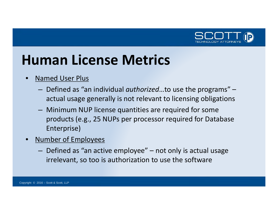

#### **Human License Metrics**

- •**•** Named User Plus
	- – Defined as "an individual *authorized*…to use the programs" – actual usage generally is not relevant to licensing obligations
	- Minimum NUP license quantities are required for some products (e.g., 25 NUPs per processor required for Database Enterprise)
- • Number of Employees
	- $-$  Defined as "an active employee"  $-$  not only is actual usage irrelevant, so too is authorization to use the software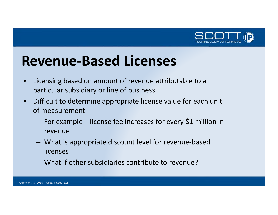

#### **Revenue‐Based Licenses**

- $\bullet$  Licensing based on amount of revenue attributable to <sup>a</sup> particular subsidiary or line of business
- $\bullet$  Difficult to determine appropriate license value for each unit of measurement
	- $-$  For example license fee increases for every \$1 million in revenue
	- – What is appropriate discount level for revenue‐based licenses
	- What if other subsidiaries contribute to revenue?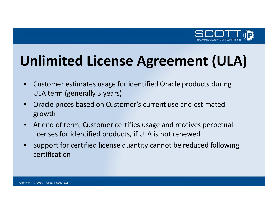

## **Unlimited License Agreement (ULA)**

- $\bullet$  Customer estimates usage for identified Oracle products during ULA term (generally 3 years)
- $\bullet$  Oracle prices based on Customer's current use and estimated growth
- • At end of term, Customer certifies usage and receives perpetual licenses for identified products, if ULA is not renewed
- $\bullet$  Support for certified license quantity cannot be reduced following certification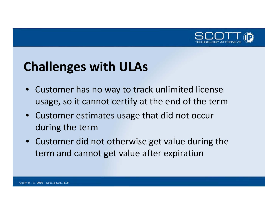

#### **Challenges with ULAs**

- Customer has no way to track unlimited license usage, so it cannot certify at the end of the term
- Customer estimates usage that did not occur during the term
- Customer did not otherwise get value during the term and cannot get value after expiration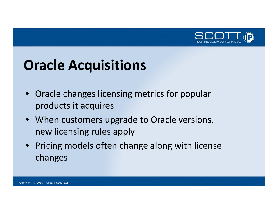

## **Oracle Acquisitions**

- Oracle changes licensing metrics for popular products it acquires
- When customers upgrade to Oracle versions, new licensing rules apply
- Pricing models often change along with license changes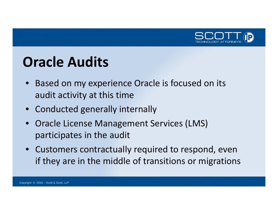

#### **Oracle Audits**

- Based on my experience Oracle is focused on its audit activity at this time
- Conducted generally internally
- Oracle License Management Services (LMS) participates in the audit
- Customers contractually required to respond, even if they are in the middle of transitions or migrations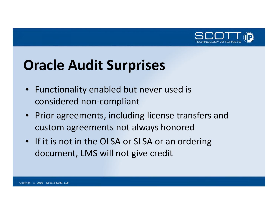

## **Oracle Audit Surprises**

- Functionality enabled but never used is considered non‐compliant
- Prior agreements, including license transfers and custom agreements not always honored
- If it is not in the OLSA or SLSA or an ordering document, LMS will not give credit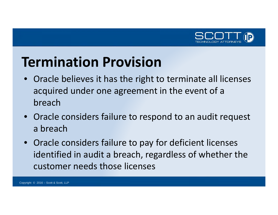

#### **Termination Provision**

- Oracle believes it has the right to terminate all licenses acquired under one agreement in the event of <sup>a</sup> breach
- Oracle considers failure to respond to an audit request a breach
- Oracle considers failure to pay for deficient licenses identified in audit <sup>a</sup> breach, regardless of whether the customer needs those licenses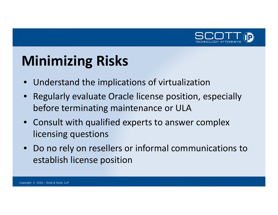

## **Minimizing Risks**

- Understand the implications of virtualization
- Regularly evaluate Oracle license position, especially before terminating maintenance or ULA
- Consult with qualified experts to answer complex licensing questions
- Do no rely on resellers or informal communications to establish license position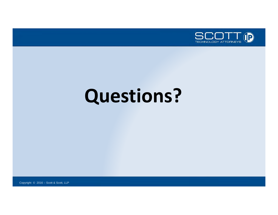

# **Questions?**

Copyright © 2016 – Scott & Scott, LLP